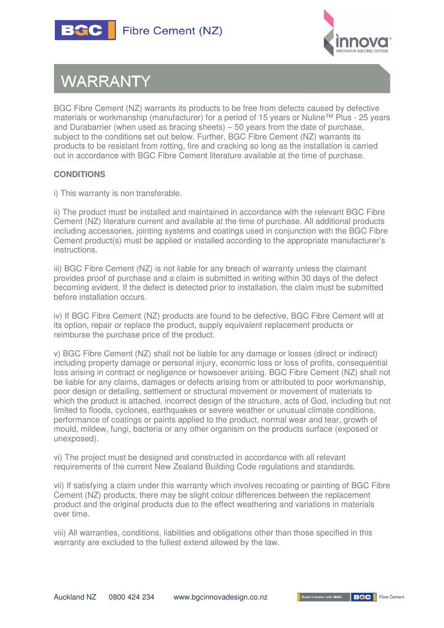



## **WARRANTY**

BGC Fibre Cement (NZ) warrants its products to be free from defects caused by defective materials or workmanship (manufacturer) for a period of 15 years or Nuline™ Plus - 25 years and Durabarrier (when used as bracing sheets) – 50 years from the date of purchase, subject to the conditions set out below. Further, BGC Fibre Cement (NZ) warrants its products to be resistant from rotting, fire and cracking so long as the installation is carried out in accordance with BGC Fibre Cement literature available at the time of purchase.

## **CONDITIONS**

i) This warranty is non transferable.

ii) The product must be installed and maintained in accordance with the relevant BGC Fibre Cement (NZ) literature current and available at the time of purchase. All additional products including accessories, jointing systems and coatings used in conjunction with the BGC Fibre Cement product(s) must be applied or installed according to the appropriate manufacturer's instructions.

iii) BGC Fibre Cement (NZ) is not liable for any breach of warranty unless the claimant provides proof of purchase and a claim is submitted in writing within 30 days of the defect becoming evident. If the defect is detected prior to installation, the claim must be submitted before installation occurs.

iv) If BGC Fibre Cement (NZ) products are found to be defective, BGC Fibre Cement will at its option, repair or replace the product, supply equivalent replacement products or reimburse the purchase price of the product.

v) BGC Fibre Cement (NZ) shall not be liable for any damage or losses (direct or indirect) including property damage or personal injury, economic loss or loss of profits, consequential loss arising in contract or negligence or howsoever arising. BGC Fibre Cement (NZ) shall not be liable for any claims, damages or defects arising from or attributed to poor workmanship, poor design or detailing, settlement or structural movement or movement of materials to which the product is attached, incorrect design of the structure, acts of God, including but not limited to floods, cyclones, earthquakes or severe weather or unusual climate conditions, performance of coatings or paints applied to the product, normal wear and tear, growth of mould, mildew, fungi, bacteria or any other organism on the products surface (exposed or unexposed).

vi) The project must be designed and constructed in accordance with all relevant requirements of the current New Zealand Building Code regulations and standards.

vii) If satisfying a claim under this warranty which involves recoating or painting of BGC Fibre Cement (NZ) products, there may be slight colour differences between the replacement product and the original products due to the effect weathering and variations in materials over time.

viii) All warranties, conditions, liabilities and obligations other than those specified in this warranty are excluded to the fullest extend allowed by the law.